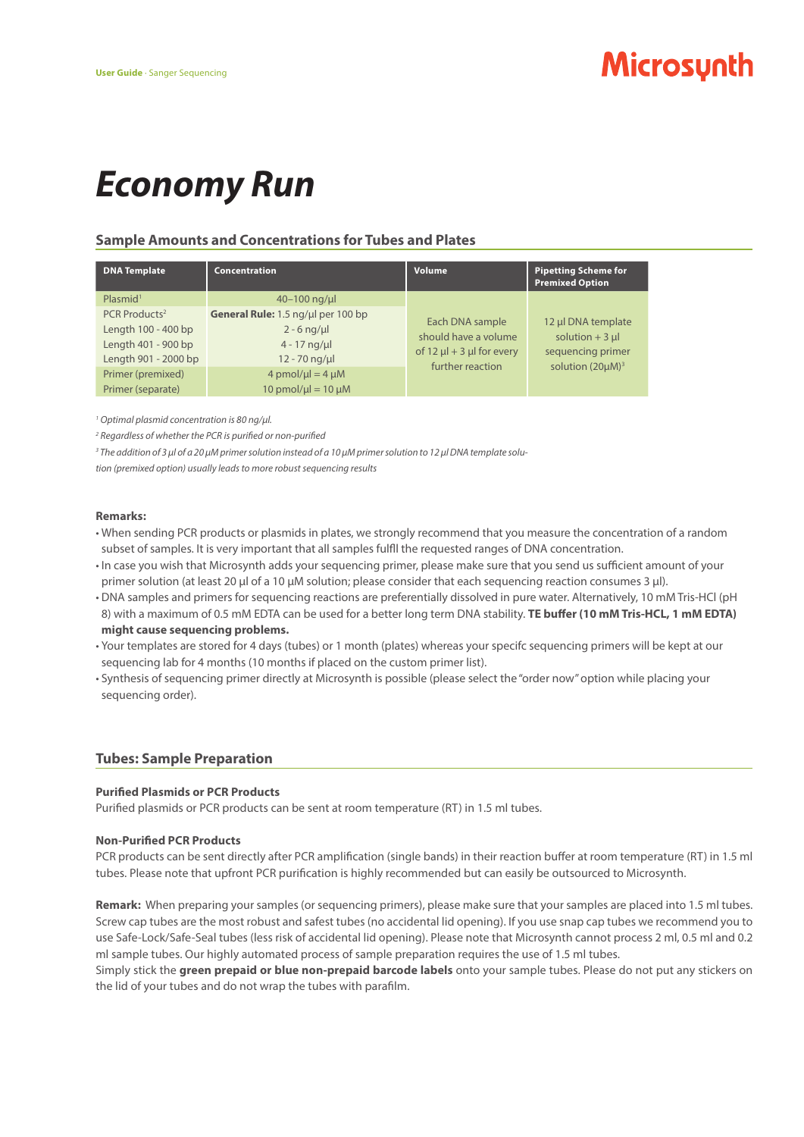# *Economy Run*

### **Sample Amounts and Concentrations for Tubes and Plates**

| <b>DNA Template</b>                                                                             | Concentration                                                                           | Volume                                                                                             | <b>Pipetting Scheme for</b><br><b>Premixed Option</b>                                       |
|-------------------------------------------------------------------------------------------------|-----------------------------------------------------------------------------------------|----------------------------------------------------------------------------------------------------|---------------------------------------------------------------------------------------------|
| Plasmid <sup>1</sup>                                                                            | $40 - 100$ ng/µ                                                                         | Each DNA sample<br>should have a volume<br>of 12 $\mu$ l + 3 $\mu$ l for every<br>further reaction | 12 µl DNA template<br>solution $+3$ µl<br>sequencing primer<br>solution (20µM) <sup>3</sup> |
| PCR Products <sup>2</sup><br>Length 100 - 400 bp<br>Length 401 - 900 bp<br>Length 901 - 2000 bp | General Rule: 1.5 ng/ul per 100 bp<br>$2 - 6$ ng/µ<br>$4 - 17$ ng/µl<br>$12 - 70$ ng/µl |                                                                                                    |                                                                                             |
| Primer (premixed)<br>Primer (separate)                                                          | $4$ pmol/ $\mu$ l = 4 $\mu$ M<br>$10$ pmol/ $\mu$ l = $10 \mu$ M                        |                                                                                                    |                                                                                             |

<sup>1</sup> Optimal plasmid concentration is 80 ng/μl.

*2 Regardless of whether the PCR is purified or non-purified*

*3 The addition of 3 µl of a 20 µM primer solution instead of a 10 µM primer solution to 12 µl DNA template solu-*

*tion (premixed option) usually leads to more robust sequencing results*

#### **Remarks:**

- When sending PCR products or plasmids in plates, we strongly recommend that you measure the concentration of a random subset of samples. It is very important that all samples fulfll the requested ranges of DNA concentration.
- In case you wish that Microsynth adds your sequencing primer, please make sure that you send us sufficient amount of your primer solution (at least 20 μl of a 10 μM solution; please consider that each sequencing reaction consumes 3 μl).
- DNA samples and primers for sequencing reactions are preferentially dissolved in pure water. Alternatively, 10 mM Tris-HCl (pH 8) with a maximum of 0.5 mM EDTA can be used for a better long term DNA stability. **TE buffer (10 mM Tris-HCL, 1 mM EDTA) might cause sequencing problems.**
- Your templates are stored for 4 days (tubes) or 1 month (plates) whereas your specifc sequencing primers will be kept at our sequencing lab for 4 months (10 months if placed on the custom primer list).
- Synthesis of sequencing primer directly at Microsynth is possible (please select the "order now" option while placing your sequencing order).

#### **Tubes: Sample Preparation**

#### **Purified Plasmids or PCR Products**

Purified plasmids or PCR products can be sent at room temperature (RT) in 1.5 ml tubes.

#### **Non-Purified PCR Products**

PCR products can be sent directly after PCR amplification (single bands) in their reaction buffer at room temperature (RT) in 1.5 ml tubes. Please note that upfront PCR purification is highly recommended but can easily be outsourced to Microsynth.

**Remark:** When preparing your samples (or sequencing primers), please make sure that your samples are placed into 1.5 ml tubes. Screw cap tubes are the most robust and safest tubes (no accidental lid opening). If you use snap cap tubes we recommend you to use Safe-Lock/Safe-Seal tubes (less risk of accidental lid opening). Please note that Microsynth cannot process 2 ml, 0.5 ml and 0.2 ml sample tubes. Our highly automated process of sample preparation requires the use of 1.5 ml tubes.

Simply stick the **green prepaid or blue non-prepaid barcode labels** onto your sample tubes. Please do not put any stickers on the lid of your tubes and do not wrap the tubes with parafilm.